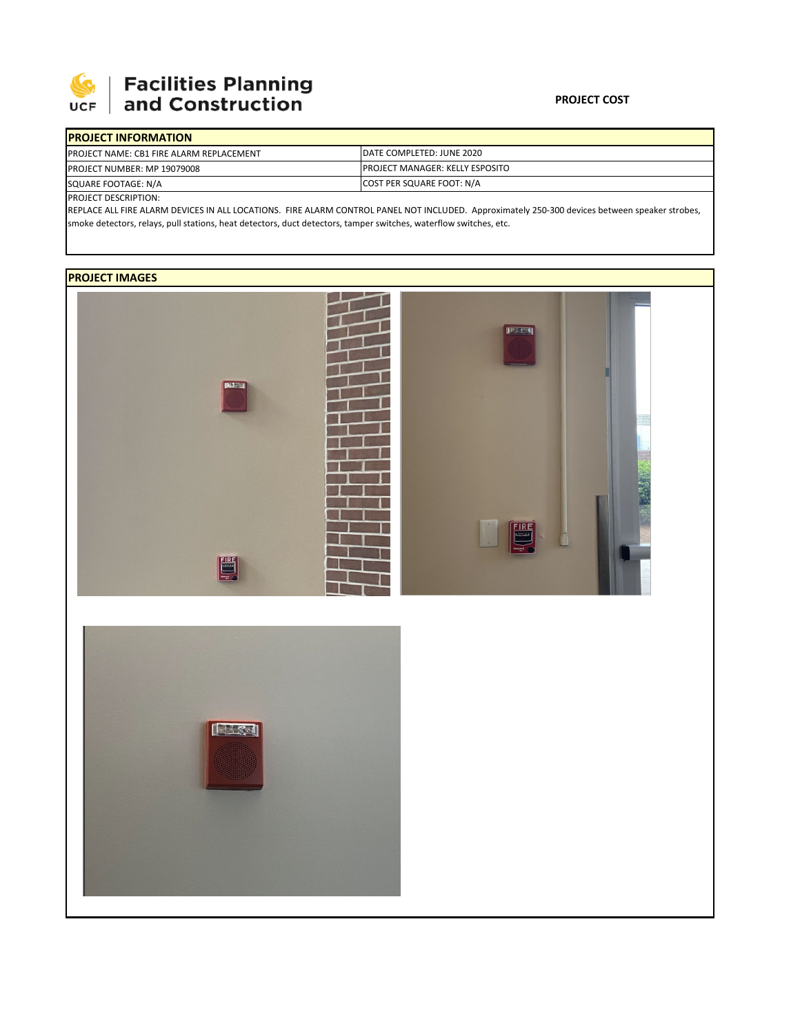

## Facilities Planning<br>and Construction

| <b>IPROJECT INFORMATION</b>                     |                                         |
|-------------------------------------------------|-----------------------------------------|
| <b>PROJECT NAME: CB1 FIRE ALARM REPLACEMENT</b> | DATE COMPLETED: JUNE 2020               |
| <b>PROJECT NUMBER: MP 19079008</b>              | <b>IPROJECT MANAGER: KELLY ESPOSITO</b> |
| SQUARE FOOTAGE: N/A                             | COST PER SQUARE FOOT: N/A               |
|                                                 |                                         |

PROJECT DESCRIPTION:

REPLACE ALL FIRE ALARM DEVICES IN ALL LOCATIONS. FIRE ALARM CONTROL PANEL NOT INCLUDED. Approximately 250‐300 devices between speaker strobes, smoke detectors, relays, pull stations, heat detectors, duct detectors, tamper switches, waterflow switches, etc.

## **PROJECT IMAGES**